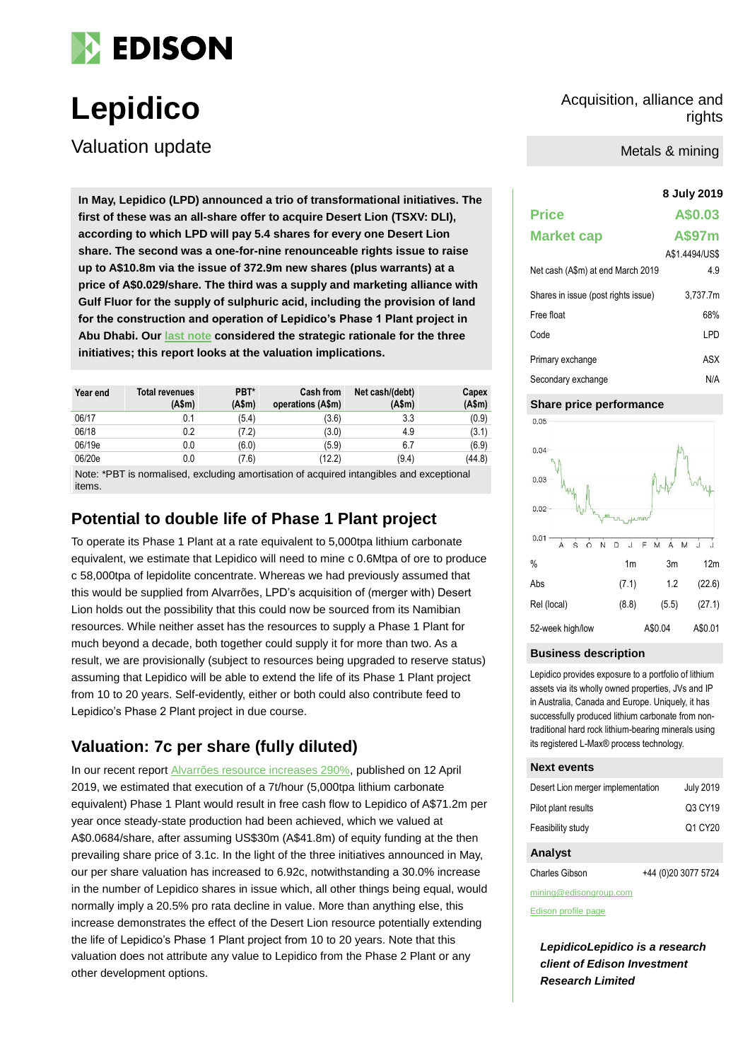

Valuation update

**8 July 2019 In May, Lepidico (LPD) announced a trio of transformational initiatives. The first of these was an all-share offer to acquire Desert Lion (TSXV: DLI), according to which LPD will pay 5.4 shares for every one Desert Lion share. The second was a one-for-nine renounceable rights issue to raise up to A\$10.8m via the issue of 372.9m new shares (plus warrants) at a price of A\$0.029/share. The third was a supply and marketing alliance with Gulf Fluor for the supply of sulphuric acid, including the provision of land for the construction and operation of Lepidico's Phase 1 Plant project in Abu Dhabi. Our [last note](https://www.edisongroup.com/publication/acquisition-rights-offer-and-gulf-fluor-alliance/) considered the strategic rationale for the three initiatives; this report looks at the valuation implications.**

| Year end | Total revenues<br>(Asm) | PBT*<br>(A\$m) | <b>Cash from</b><br>operations (A\$m) | Net cash/(debt)<br>(Asm) | Capex<br>(A\$m) |
|----------|-------------------------|----------------|---------------------------------------|--------------------------|-----------------|
| 06/17    | 0.1                     | (5.4)          | (3.6)                                 | 3.3                      | (0.9)           |
| 06/18    | 0.2                     | (7.2)          | (3.0)                                 | 4.9                      | (3.1)           |
| 06/19e   | 0.0                     | (6.0)          | (5.9)                                 | 6.7                      | (6.9)           |
| 06/20e   | 0.0                     | (7.6)          | (12.2)                                | (9.4)                    | (44.8)          |

Note: \*PBT is normalised, excluding amortisation of acquired intangibles and exceptional items.

## **Potential to double life of Phase 1 Plant project**

To operate its Phase 1 Plant at a rate equivalent to 5,000tpa lithium carbonate equivalent, we estimate that Lepidico will need to mine c 0.6Mtpa of ore to produce c 58,000tpa of lepidolite concentrate. Whereas we had previously assumed that this would be supplied from Alvarrões, LPD's acquisition of (merger with) Desert Lion holds out the possibility that this could now be sourced from its Namibian resources. While neither asset has the resources to supply a Phase 1 Plant for much beyond a decade, both together could supply it for more than two. As a result, we are provisionally (subject to resources being upgraded to reserve status) assuming that Lepidico will be able to extend the life of its Phase 1 Plant project from 10 to 20 years. Self-evidently, either or both could also contribute feed to Lepidico's Phase 2 Plant project in due course.

## **Valuation: 7c per share (fully diluted)**

In our recent repor[t Alvarrões resource increases 290%,](https://www.edisongroup.com/publication/alvarroes-resource-increases-290/23923/) published on 12 April 2019, we estimated that execution of a 7t/hour (5,000tpa lithium carbonate equivalent) Phase 1 Plant would result in free cash flow to Lepidico of A\$71.2m per year once steady-state production had been achieved, which we valued at A\$0.0684/share, after assuming US\$30m (A\$41.8m) of equity funding at the then prevailing share price of 3.1c. In the light of the three initiatives announced in May, our per share valuation has increased to 6.92c, notwithstanding a 30.0% increase in the number of Lepidico shares in issue which, all other things being equal, would normally imply a 20.5% pro rata decline in value. More than anything else, this increase demonstrates the effect of the Desert Lion resource potentially extending the life of Lepidico's Phase 1 Plant project from 10 to 20 years. Note that this valuation does not attribute any value to Lepidico from the Phase 2 Plant or any other development options.

**Lepidico** Acquisition, alliance and Acquisition, alliance and rights rights

Metals & mining

| <b>Price</b>                        | A\$0.03        |
|-------------------------------------|----------------|
| <b>Market cap</b>                   | A\$97m         |
|                                     | A\$1.4494/US\$ |
| Net cash (A\$m) at end March 2019   | 4.9            |
| Shares in issue (post rights issue) | 3.737.7m       |
| Free float                          | 68%            |
| Code                                | LPD            |
| Primary exchange                    | ASX            |
| Secondary exchange                  | N/A            |

### **Share price performance**



#### **Business description**

Lepidico provides exposure to a portfolio of lithium assets via its wholly owned properties, JVs and IP in Australia, Canada and Europe. Uniquely, it has successfully produced lithium carbonate from nontraditional hard rock lithium-bearing minerals using its registered L-Max® process technology.

#### **Next events**

| Desert Lion merger implementation | <b>July 2019</b> |
|-----------------------------------|------------------|
| Pilot plant results               | Q3 CY19          |
| Feasibility study                 | Q1 CY20          |
| Analvet                           |                  |

#### **Analyst**

| +44 (0)20 3077 5724<br>Charles Gibson |
|---------------------------------------|
|---------------------------------------|

mining@edisongroup.com

[Edison profile page](https://www.edisongroup.com/company/lepidico/)

*LepidicoLepidico is a research client of Edison Investment Research Limited*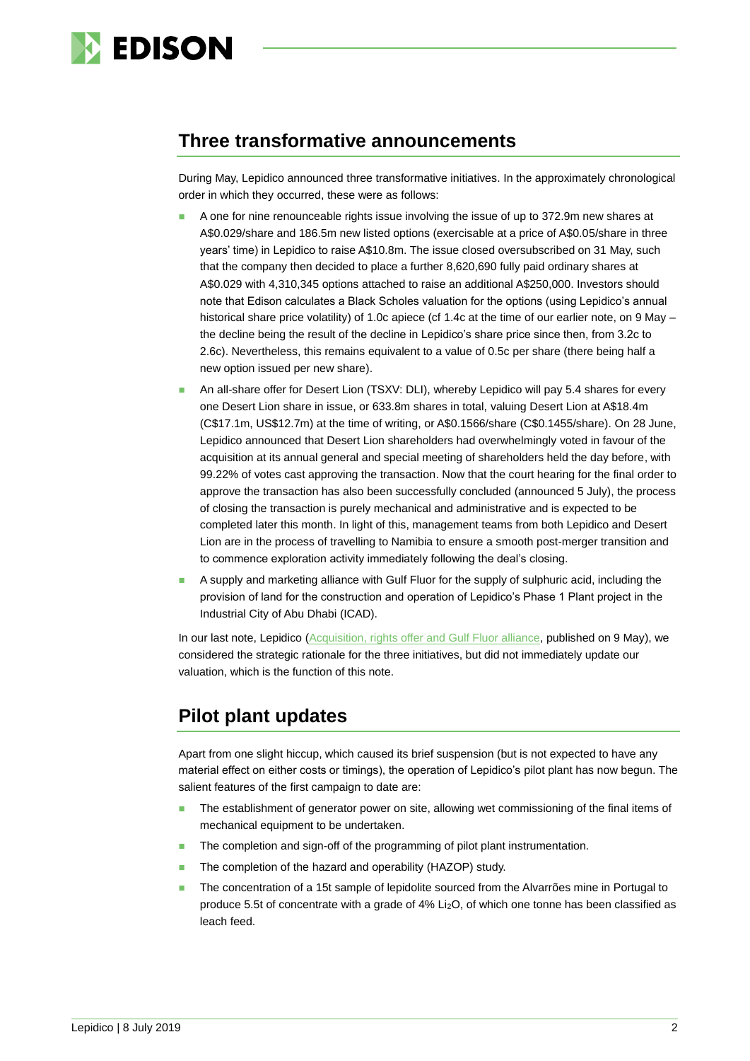

# **Three transformative announcements**

During May, Lepidico announced three transformative initiatives. In the approximately chronological order in which they occurred, these were as follows:

- A one for nine renounceable rights issue involving the issue of up to 372.9m new shares at A\$0.029/share and 186.5m new listed options (exercisable at a price of A\$0.05/share in three years' time) in Lepidico to raise A\$10.8m. The issue closed oversubscribed on 31 May, such that the company then decided to place a further 8,620,690 fully paid ordinary shares at A\$0.029 with 4,310,345 options attached to raise an additional A\$250,000. Investors should note that Edison calculates a Black Scholes valuation for the options (using Lepidico's annual historical share price volatility) of 1.0c apiece (cf 1.4c at the time of our earlier note, on 9 May the decline being the result of the decline in Lepidico's share price since then, from 3.2c to 2.6c). Nevertheless, this remains equivalent to a value of 0.5c per share (there being half a new option issued per new share).
- An all-share offer for Desert Lion (TSXV: DLI), whereby Lepidico will pay 5.4 shares for every one Desert Lion share in issue, or 633.8m shares in total, valuing Desert Lion at A\$18.4m (C\$17.1m, US\$12.7m) at the time of writing, or A\$0.1566/share (C\$0.1455/share). On 28 June, Lepidico announced that Desert Lion shareholders had overwhelmingly voted in favour of the acquisition at its annual general and special meeting of shareholders held the day before, with 99.22% of votes cast approving the transaction. Now that the court hearing for the final order to approve the transaction has also been successfully concluded (announced 5 July), the process of closing the transaction is purely mechanical and administrative and is expected to be completed later this month. In light of this, management teams from both Lepidico and Desert Lion are in the process of travelling to Namibia to ensure a smooth post-merger transition and to commence exploration activity immediately following the deal's closing.
- A supply and marketing alliance with Gulf Fluor for the supply of sulphuric acid, including the provision of land for the construction and operation of Lepidico's Phase 1 Plant project in the Industrial City of Abu Dhabi (ICAD).

In our last note, Lepidico [\(Acquisition, rights offer and Gulf Fluor alliance,](https://www.edisongroup.com/publication/acquisition-rights-offer-and-gulf-fluor-alliance/24117/) published on 9 May), we considered the strategic rationale for the three initiatives, but did not immediately update our valuation, which is the function of this note.

# **Pilot plant updates**

Apart from one slight hiccup, which caused its brief suspension (but is not expected to have any material effect on either costs or timings), the operation of Lepidico's pilot plant has now begun. The salient features of the first campaign to date are:

- The establishment of generator power on site, allowing wet commissioning of the final items of mechanical equipment to be undertaken.
- The completion and sign-off of the programming of pilot plant instrumentation.
- The completion of the hazard and operability (HAZOP) study.
- The concentration of a 15t sample of lepidolite sourced from the Alvarrões mine in Portugal to produce 5.5t of concentrate with a grade of 4% Li<sub>2</sub>O, of which one tonne has been classified as leach feed.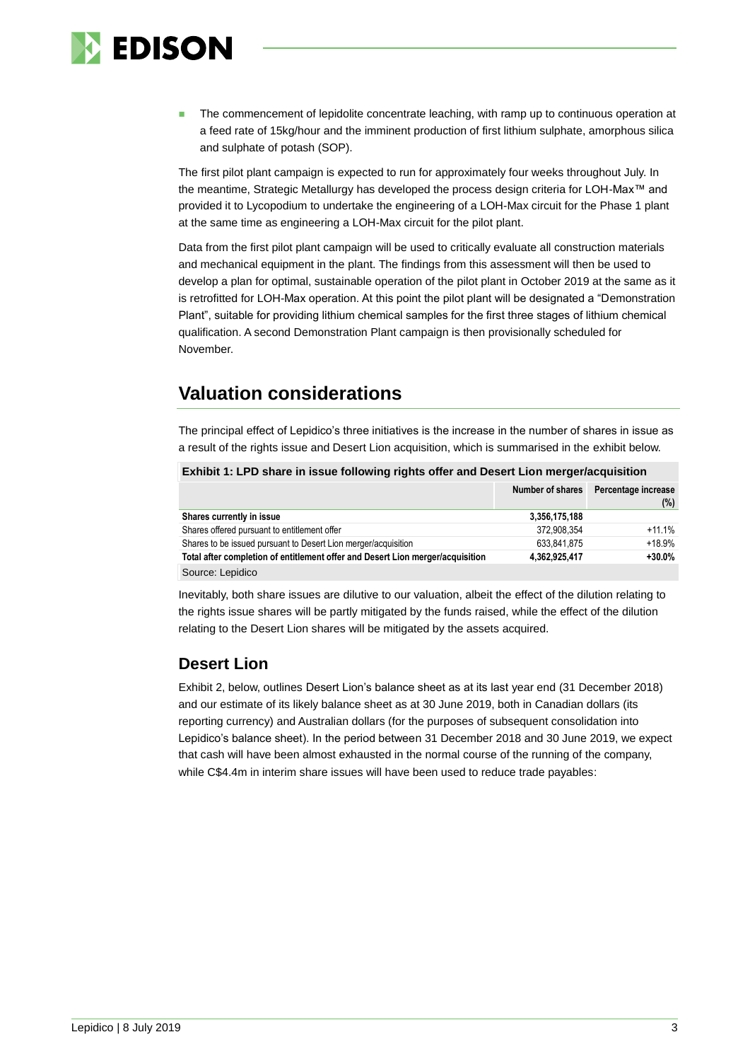

**The commencement of lepidolite concentrate leaching, with ramp up to continuous operation at** a feed rate of 15kg/hour and the imminent production of first lithium sulphate, amorphous silica and sulphate of potash (SOP).

The first pilot plant campaign is expected to run for approximately four weeks throughout July. In the meantime, Strategic Metallurgy has developed the process design criteria for LOH-Max™ and provided it to Lycopodium to undertake the engineering of a LOH-Max circuit for the Phase 1 plant at the same time as engineering a LOH-Max circuit for the pilot plant.

Data from the first pilot plant campaign will be used to critically evaluate all construction materials and mechanical equipment in the plant. The findings from this assessment will then be used to develop a plan for optimal, sustainable operation of the pilot plant in October 2019 at the same as it is retrofitted for LOH-Max operation. At this point the pilot plant will be designated a "Demonstration Plant", suitable for providing lithium chemical samples for the first three stages of lithium chemical qualification. A second Demonstration Plant campaign is then provisionally scheduled for November.

# **Valuation considerations**

The principal effect of Lepidico's three initiatives is the increase in the number of shares in issue as a result of the rights issue and Desert Lion acquisition, which is summarised in the exhibit below.

### **Exhibit 1: LPD share in issue following rights offer and Desert Lion merger/acquisition**

|                                                                                | Number of shares | Percentage increase<br>(%) |
|--------------------------------------------------------------------------------|------------------|----------------------------|
| Shares currently in issue                                                      | 3,356,175,188    |                            |
| Shares offered pursuant to entitlement offer                                   | 372.908.354      | $+11.1%$                   |
| Shares to be issued pursuant to Desert Lion merger/acquisition                 | 633.841.875      | $+18.9%$                   |
| Total after completion of entitlement offer and Desert Lion merger/acquisition | 4,362,925,417    | $+30.0%$                   |
| Course Lopidico                                                                |                  |                            |

Source: Lepidico

Inevitably, both share issues are dilutive to our valuation, albeit the effect of the dilution relating to the rights issue shares will be partly mitigated by the funds raised, while the effect of the dilution relating to the Desert Lion shares will be mitigated by the assets acquired.

## **Desert Lion**

Exhibit 2, below, outlines Desert Lion's balance sheet as at its last year end (31 December 2018) and our estimate of its likely balance sheet as at 30 June 2019, both in Canadian dollars (its reporting currency) and Australian dollars (for the purposes of subsequent consolidation into Lepidico's balance sheet). In the period between 31 December 2018 and 30 June 2019, we expect that cash will have been almost exhausted in the normal course of the running of the company, while C\$4.4m in interim share issues will have been used to reduce trade payables: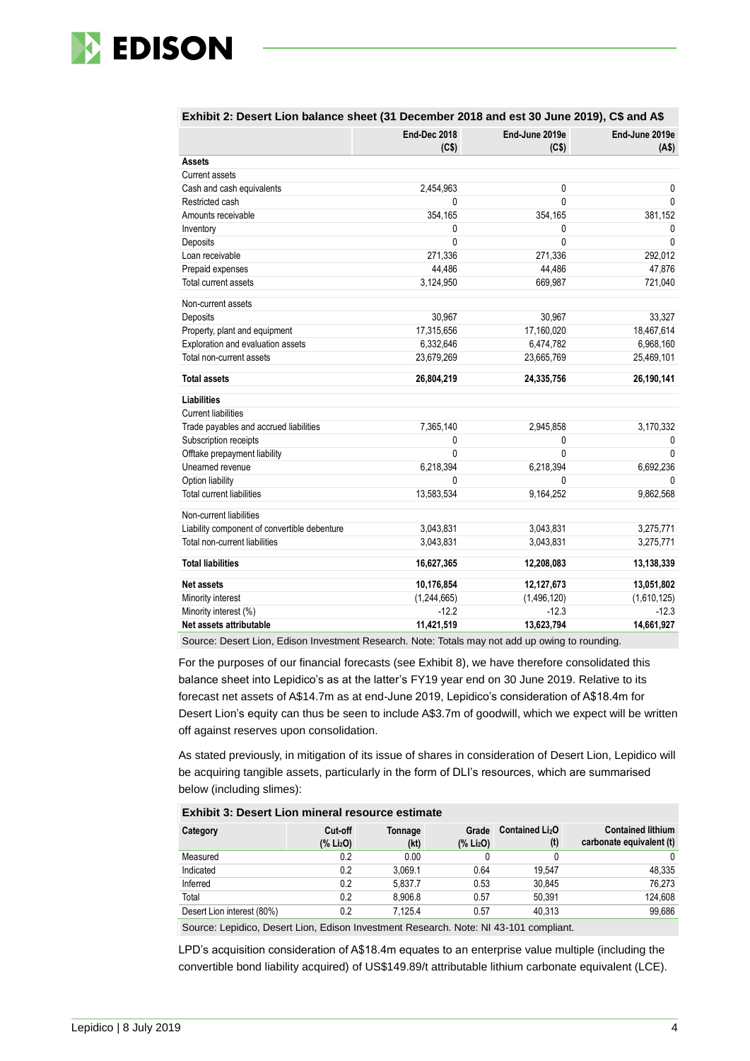

|                                              | <b>End-Dec 2018</b><br>(C\$) | End-June 2019e<br>(C\$) | End-June 2019e<br>(A\$) |
|----------------------------------------------|------------------------------|-------------------------|-------------------------|
| <b>Assets</b>                                |                              |                         |                         |
| <b>Current assets</b>                        |                              |                         |                         |
| Cash and cash equivalents                    | 2,454,963                    | 0                       | 0                       |
| Restricted cash                              | 0                            | $\Omega$                | $\Omega$                |
| Amounts receivable                           | 354,165                      | 354,165                 | 381,152                 |
| Inventory                                    | 0                            | 0                       | 0                       |
| Deposits                                     | 0                            | $\mathbf{0}$            | $\Omega$                |
| Loan receivable                              | 271,336                      | 271,336                 | 292,012                 |
| Prepaid expenses                             | 44,486                       | 44,486                  | 47,876                  |
| Total current assets                         | 3,124,950                    | 669,987                 | 721,040                 |
| Non-current assets                           |                              |                         |                         |
| Deposits                                     | 30,967                       | 30,967                  | 33,327                  |
| Property, plant and equipment                | 17,315,656                   | 17,160,020              | 18,467,614              |
| Exploration and evaluation assets            | 6,332,646                    | 6,474,782               | 6,968,160               |
| Total non-current assets                     | 23,679,269                   | 23,665,769              | 25,469,101              |
| <b>Total assets</b>                          | 26,804,219                   | 24,335,756              | 26,190,141              |
| <b>Liabilities</b>                           |                              |                         |                         |
| <b>Current liabilities</b>                   |                              |                         |                         |
| Trade payables and accrued liabilities       | 7,365,140                    | 2,945,858               | 3,170,332               |
| Subscription receipts                        | 0                            | 0                       | 0                       |
| Offtake prepayment liability                 | $\Omega$                     | $\Omega$                | $\Omega$                |
| Unearned revenue                             | 6,218,394                    | 6,218,394               | 6,692,236               |
| Option liability                             | 0                            | $\Omega$                | $\Omega$                |
| <b>Total current liabilities</b>             | 13,583,534                   | 9,164,252               | 9,862,568               |
| Non-current liabilities                      |                              |                         |                         |
| Liability component of convertible debenture | 3,043,831                    | 3,043,831               | 3,275,771               |
| Total non-current liabilities                | 3,043,831                    | 3,043,831               | 3,275,771               |
| <b>Total liabilities</b>                     | 16,627,365                   | 12,208,083              | 13,138,339              |
| Net assets                                   | 10,176,854                   | 12,127,673              | 13,051,802              |
| Minority interest                            | (1,244,665)                  | (1, 496, 120)           | (1,610,125)             |
| Minority interest (%)                        | $-12.2$                      | $-12.3$                 | $-12.3$                 |
| Net assets attributable                      | 11,421,519                   | 13,623,794              | 14,661,927              |

### **Exhibit 2: Desert Lion balance sheet (31 December 2018 and est 30 June 2019), C\$ and A\$**

Source: Desert Lion, Edison Investment Research. Note: Totals may not add up owing to rounding.

For the purposes of our financial forecasts (see Exhibit 8), we have therefore consolidated this balance sheet into Lepidico's as at the latter's FY19 year end on 30 June 2019. Relative to its forecast net assets of A\$14.7m as at end-June 2019, Lepidico's consideration of A\$18.4m for Desert Lion's equity can thus be seen to include A\$3.7m of goodwill, which we expect will be written off against reserves upon consolidation.

As stated previously, in mitigation of its issue of shares in consideration of Desert Lion, Lepidico will be acquiring tangible assets, particularly in the form of DLI's resources, which are summarised below (including slimes):

#### **Exhibit 3: Desert Lion mineral resource estimate**

| Category                                                                                                           | Cut-off<br>(% Li <sub>2</sub> O) | Tonnage<br>(kt) | Grade<br>(% Li <sub>2</sub> O) | Contained Li <sub>2</sub> O<br>(t) | <b>Contained lithium</b><br>carbonate equivalent (t) |  |
|--------------------------------------------------------------------------------------------------------------------|----------------------------------|-----------------|--------------------------------|------------------------------------|------------------------------------------------------|--|
| Measured                                                                                                           | 0.2                              | 0.00            |                                | 0                                  | 0                                                    |  |
| Indicated                                                                                                          | 0.2                              | 3.069.1         | 0.64                           | 19.547                             | 48.335                                               |  |
| Inferred                                                                                                           | 0.2                              | 5.837.7         | 0.53                           | 30.845                             | 76.273                                               |  |
| Total                                                                                                              | 0.2                              | 8.906.8         | 0.57                           | 50.391                             | 124.608                                              |  |
| Desert Lion interest (80%)                                                                                         | 0.2                              | 7.125.4         | 0.57                           | 40.313                             | 99,686                                               |  |
| $\Omega$ consists the $\Omega$ contribution of the contribution $\Omega$ consists the set of $\Omega$ and $\Omega$ |                                  |                 |                                |                                    |                                                      |  |

Source: Lepidico, Desert Lion, Edison Investment Research. Note: NI 43-101 compliant.

LPD's acquisition consideration of A\$18.4m equates to an enterprise value multiple (including the convertible bond liability acquired) of US\$149.89/t attributable lithium carbonate equivalent (LCE).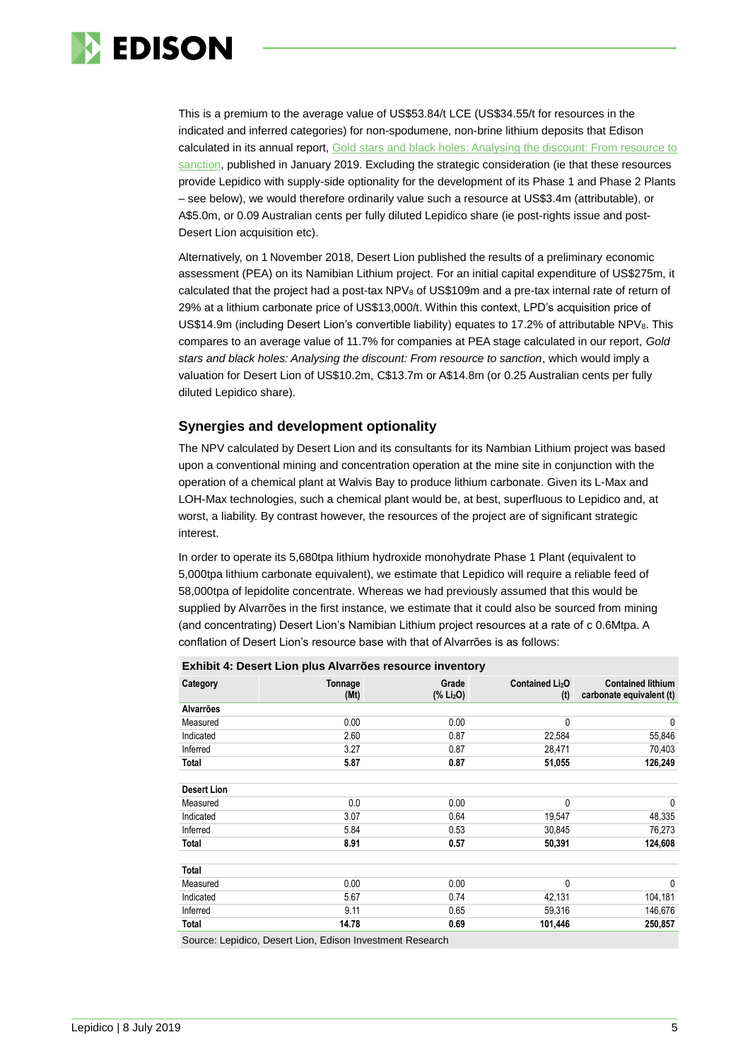

This is a premium to the average value of US\$53.84/t LCE (US\$34.55/t for resources in the indicated and inferred categories) for non-spodumene, non-brine lithium deposits that Edison calculated in its annual report, [Gold stars and black holes: Analysing the discount: From resource to](https://www.edisongroup.com/sector-report/gold-stars-and-black-holes/) [sanction,](https://www.edisongroup.com/sector-report/gold-stars-and-black-holes/) published in January 2019. Excluding the strategic consideration (ie that these resources provide Lepidico with supply-side optionality for the development of its Phase 1 and Phase 2 Plants – see below), we would therefore ordinarily value such a resource at US\$3.4m (attributable), or A\$5.0m, or 0.09 Australian cents per fully diluted Lepidico share (ie post-rights issue and post-Desert Lion acquisition etc).

Alternatively, on 1 November 2018, Desert Lion published the results of a preliminary economic assessment (PEA) on its Namibian Lithium project. For an initial capital expenditure of US\$275m, it calculated that the project had a post-tax NPV<sub>8</sub> of US\$109m and a pre-tax internal rate of return of 29% at a lithium carbonate price of US\$13,000/t. Within this context, LPD's acquisition price of US\$14.9m (including Desert Lion's convertible liability) equates to 17.2% of attributable NPV<sub>8</sub>. This compares to an average value of 11.7% for companies at PEA stage calculated in our report, *Gold stars and black holes: Analysing the discount: From resource to sanction*, which would imply a valuation for Desert Lion of US\$10.2m, C\$13.7m or A\$14.8m (or 0.25 Australian cents per fully diluted Lepidico share).

### **Synergies and development optionality**

The NPV calculated by Desert Lion and its consultants for its Nambian Lithium project was based upon a conventional mining and concentration operation at the mine site in conjunction with the operation of a chemical plant at Walvis Bay to produce lithium carbonate. Given its L-Max and LOH-Max technologies, such a chemical plant would be, at best, superfluous to Lepidico and, at worst, a liability. By contrast however, the resources of the project are of significant strategic interest.

In order to operate its 5,680tpa lithium hydroxide monohydrate Phase 1 Plant (equivalent to 5,000tpa lithium carbonate equivalent), we estimate that Lepidico will require a reliable feed of 58,000tpa of lepidolite concentrate. Whereas we had previously assumed that this would be supplied by Alvarrões in the first instance, we estimate that it could also be sourced from mining (and concentrating) Desert Lion's Namibian Lithium project resources at a rate of c 0.6Mtpa. A conflation of Desert Lion's resource base with that of Alvarrões is as follows:

| EXHIDIL 4. DOJOH EIOH PRIJ AIVAN 003 1030ANOG INVOLKOHY |                 |                                                 |                                    |                                                      |  |  |  |  |
|---------------------------------------------------------|-----------------|-------------------------------------------------|------------------------------------|------------------------------------------------------|--|--|--|--|
| Category                                                | Tonnage<br>(Mt) | Grade<br>$(% \mathbf{A})$ (% Li <sub>2</sub> O) | Contained Li <sub>2</sub> O<br>(t) | <b>Contained lithium</b><br>carbonate equivalent (t) |  |  |  |  |
| Alvarrões                                               |                 |                                                 |                                    |                                                      |  |  |  |  |
| Measured                                                | 0.00            | 0.00                                            | 0                                  | 0                                                    |  |  |  |  |
| Indicated                                               | 2.60            | 0.87                                            | 22,584                             | 55,846                                               |  |  |  |  |
| Inferred                                                | 3.27            | 0.87                                            | 28,471                             | 70,403                                               |  |  |  |  |
| Total                                                   | 5.87            | 0.87                                            | 51,055                             | 126,249                                              |  |  |  |  |
|                                                         |                 |                                                 |                                    |                                                      |  |  |  |  |
| <b>Desert Lion</b>                                      |                 |                                                 |                                    |                                                      |  |  |  |  |
| Measured                                                | 0.0             | 0.00                                            | 0                                  | 0                                                    |  |  |  |  |
| Indicated                                               | 3.07            | 0.64                                            | 19,547                             | 48,335                                               |  |  |  |  |
| Inferred                                                | 5.84            | 0.53                                            | 30,845                             | 76,273                                               |  |  |  |  |
| Total                                                   | 8.91            | 0.57                                            | 50,391                             | 124,608                                              |  |  |  |  |
| Total                                                   |                 |                                                 |                                    |                                                      |  |  |  |  |
| Measured                                                | 0.00            | 0.00                                            | 0                                  | 0                                                    |  |  |  |  |
| Indicated                                               | 5.67            | 0.74                                            | 42,131                             | 104,181                                              |  |  |  |  |
| Inferred                                                | 9.11            | 0.65                                            | 59,316                             | 146,676                                              |  |  |  |  |
| Total                                                   | 14.78           | 0.69                                            | 101,446                            | 250,857                                              |  |  |  |  |
| .                                                       |                 |                                                 |                                    |                                                      |  |  |  |  |

**Exhibit 4: Desert Lion plus Alvarrões resource inventory**

Source: Lepidico, Desert Lion, Edison Investment Research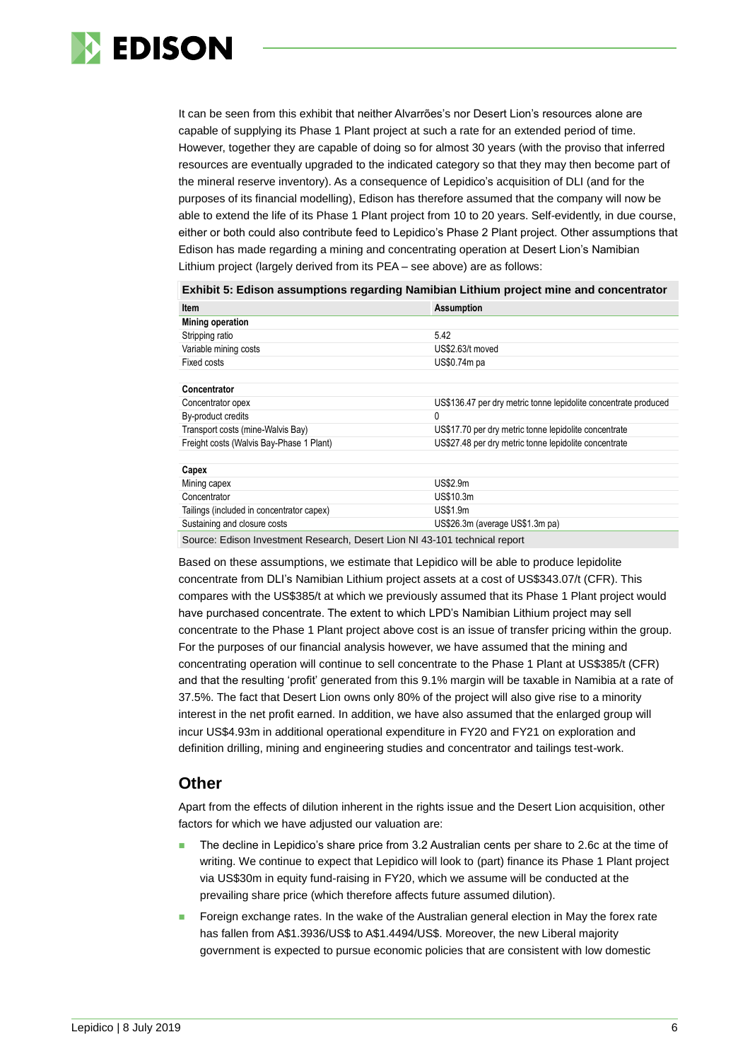

It can be seen from this exhibit that neither Alvarrões's nor Desert Lion's resources alone are capable of supplying its Phase 1 Plant project at such a rate for an extended period of time. However, together they are capable of doing so for almost 30 years (with the proviso that inferred resources are eventually upgraded to the indicated category so that they may then become part of the mineral reserve inventory). As a consequence of Lepidico's acquisition of DLI (and for the purposes of its financial modelling), Edison has therefore assumed that the company will now be able to extend the life of its Phase 1 Plant project from 10 to 20 years. Self-evidently, in due course, either or both could also contribute feed to Lepidico's Phase 2 Plant project. Other assumptions that Edison has made regarding a mining and concentrating operation at Desert Lion's Namibian Lithium project (largely derived from its PEA – see above) are as follows:

| Item                                                                        | <b>Assumption</b>                                               |
|-----------------------------------------------------------------------------|-----------------------------------------------------------------|
| <b>Mining operation</b>                                                     |                                                                 |
| Stripping ratio                                                             | 5.42                                                            |
| Variable mining costs                                                       | US\$2.63/t moved                                                |
| Fixed costs                                                                 | US\$0.74m pa                                                    |
|                                                                             |                                                                 |
| Concentrator                                                                |                                                                 |
| Concentrator opex                                                           | US\$136.47 per dry metric tonne lepidolite concentrate produced |
| By-product credits                                                          | 0                                                               |
| Transport costs (mine-Walvis Bay)                                           | US\$17.70 per dry metric tonne lepidolite concentrate           |
| Freight costs (Walvis Bay-Phase 1 Plant)                                    | US\$27.48 per dry metric tonne lepidolite concentrate           |
| Capex                                                                       |                                                                 |
| Mining capex                                                                | <b>US\$2.9m</b>                                                 |
| Concentrator                                                                | US\$10.3m                                                       |
| Tailings (included in concentrator capex)                                   | US\$1.9m                                                        |
| Sustaining and closure costs                                                | US\$26.3m (average US\$1.3m pa)                                 |
| Course: Edison Investment Dessarch, Desart Lion NIL 49,404 toobnisel repart |                                                                 |

**Exhibit 5: Edison assumptions regarding Namibian Lithium project mine and concentrator**

Source: Edison Investment Research, Desert Lion NI 43-101 technical report

Based on these assumptions, we estimate that Lepidico will be able to produce lepidolite concentrate from DLI's Namibian Lithium project assets at a cost of US\$343.07/t (CFR). This compares with the US\$385/t at which we previously assumed that its Phase 1 Plant project would have purchased concentrate. The extent to which LPD's Namibian Lithium project may sell concentrate to the Phase 1 Plant project above cost is an issue of transfer pricing within the group. For the purposes of our financial analysis however, we have assumed that the mining and concentrating operation will continue to sell concentrate to the Phase 1 Plant at US\$385/t (CFR) and that the resulting 'profit' generated from this 9.1% margin will be taxable in Namibia at a rate of 37.5%. The fact that Desert Lion owns only 80% of the project will also give rise to a minority interest in the net profit earned. In addition, we have also assumed that the enlarged group will incur US\$4.93m in additional operational expenditure in FY20 and FY21 on exploration and definition drilling, mining and engineering studies and concentrator and tailings test-work.

### **Other**

Apart from the effects of dilution inherent in the rights issue and the Desert Lion acquisition, other factors for which we have adjusted our valuation are:

- The decline in Lepidico's share price from 3.2 Australian cents per share to 2.6c at the time of writing. We continue to expect that Lepidico will look to (part) finance its Phase 1 Plant project via US\$30m in equity fund-raising in FY20, which we assume will be conducted at the prevailing share price (which therefore affects future assumed dilution).
- Foreign exchange rates. In the wake of the Australian general election in May the forex rate has fallen from A\$1.3936/US\$ to A\$1.4494/US\$. Moreover, the new Liberal majority government is expected to pursue economic policies that are consistent with low domestic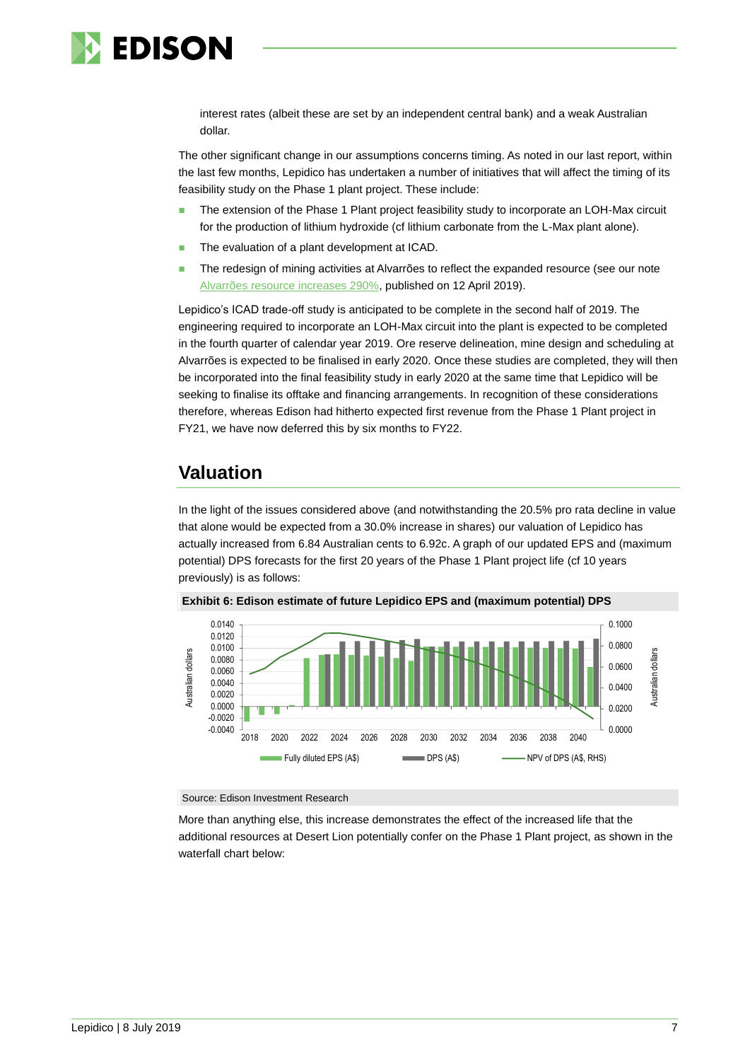

interest rates (albeit these are set by an independent central bank) and a weak Australian dollar.

The other significant change in our assumptions concerns timing. As noted in our last report, within the last few months, Lepidico has undertaken a number of initiatives that will affect the timing of its feasibility study on the Phase 1 plant project. These include:

- The extension of the Phase 1 Plant project feasibility study to incorporate an LOH-Max circuit for the production of lithium hydroxide (cf lithium carbonate from the L-Max plant alone).
- The evaluation of a plant development at ICAD.
- The redesign of mining activities at Alvarrões to reflect the expanded resource (see our note [Alvarrões resource increases 290%,](https://www.edisongroup.com/publication/alvarroes-resource-increases-290/23923) published on 12 April 2019).

Lepidico's ICAD trade-off study is anticipated to be complete in the second half of 2019. The engineering required to incorporate an LOH-Max circuit into the plant is expected to be completed in the fourth quarter of calendar year 2019. Ore reserve delineation, mine design and scheduling at Alvarrões is expected to be finalised in early 2020. Once these studies are completed, they will then be incorporated into the final feasibility study in early 2020 at the same time that Lepidico will be seeking to finalise its offtake and financing arrangements. In recognition of these considerations therefore, whereas Edison had hitherto expected first revenue from the Phase 1 Plant project in FY21, we have now deferred this by six months to FY22.

# **Valuation**

In the light of the issues considered above (and notwithstanding the 20.5% pro rata decline in value that alone would be expected from a 30.0% increase in shares) our valuation of Lepidico has actually increased from 6.84 Australian cents to 6.92c. A graph of our updated EPS and (maximum potential) DPS forecasts for the first 20 years of the Phase 1 Plant project life (cf 10 years previously) is as follows:



**Exhibit 6: Edison estimate of future Lepidico EPS and (maximum potential) DPS**

#### Source: Edison Investment Research

More than anything else, this increase demonstrates the effect of the increased life that the additional resources at Desert Lion potentially confer on the Phase 1 Plant project, as shown in the waterfall chart below: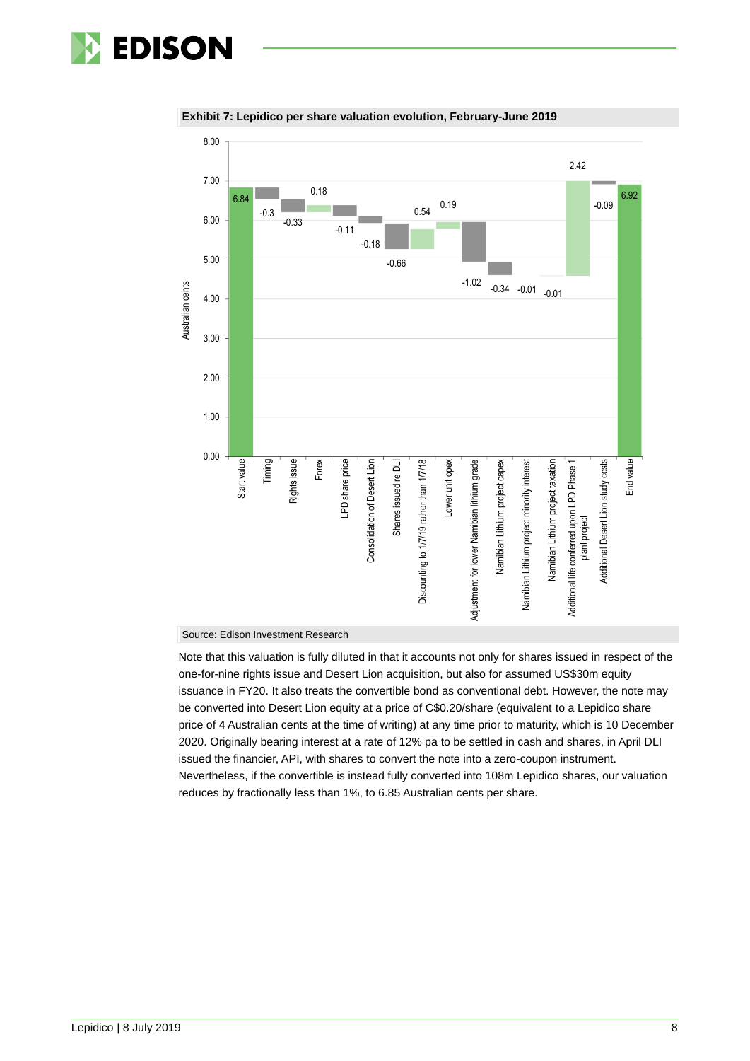



#### **Exhibit 7: Lepidico per share valuation evolution, February-June 2019**

#### Source: Edison Investment Research

Note that this valuation is fully diluted in that it accounts not only for shares issued in respect of the one-for-nine rights issue and Desert Lion acquisition, but also for assumed US\$30m equity issuance in FY20. It also treats the convertible bond as conventional debt. However, the note may be converted into Desert Lion equity at a price of C\$0.20/share (equivalent to a Lepidico share price of 4 Australian cents at the time of writing) at any time prior to maturity, which is 10 December 2020. Originally bearing interest at a rate of 12% pa to be settled in cash and shares, in April DLI issued the financier, API, with shares to convert the note into a zero-coupon instrument. Nevertheless, if the convertible is instead fully converted into 108m Lepidico shares, our valuation reduces by fractionally less than 1%, to 6.85 Australian cents per share.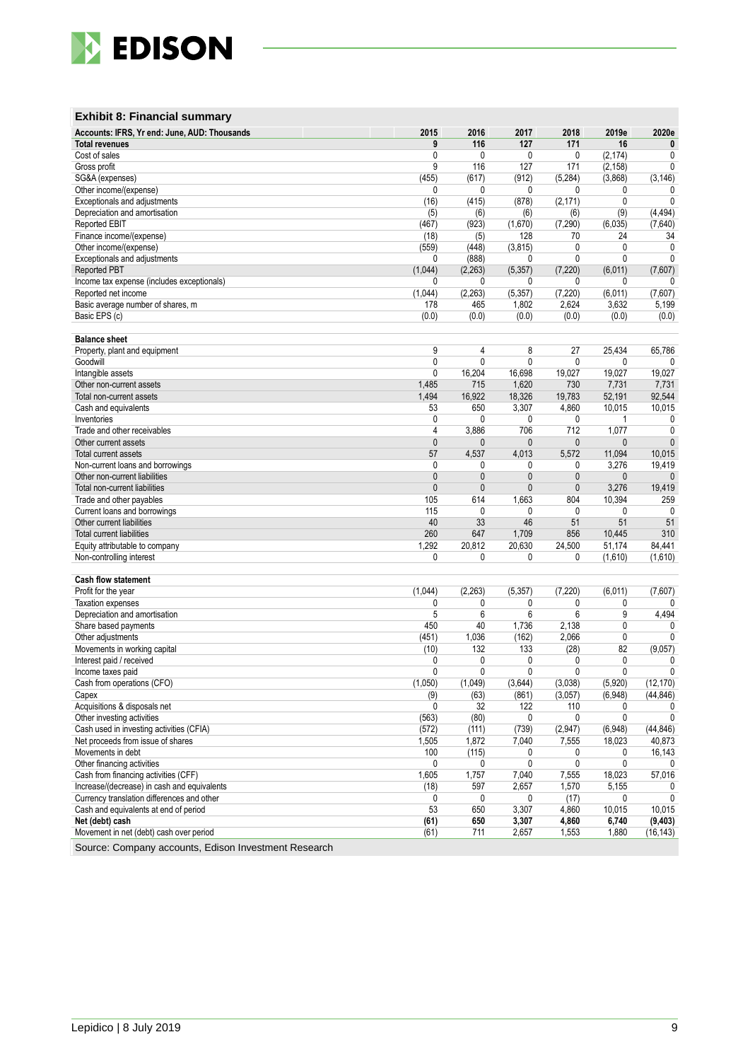

### **Exhibit 8: Financial summary**

| Accounts: IFRS, Yr end: June, AUD: Thousands | 2015           | 2016         | 2017         | 2018         | 2019e    | 2020e           |
|----------------------------------------------|----------------|--------------|--------------|--------------|----------|-----------------|
| <b>Total revenues</b>                        | 9              | 116          | 127          | 171          | 16       | $\bf{0}$        |
| Cost of sales                                | 0              | 0            | 0            | 0            | (2, 174) | 0               |
| Gross profit                                 | 9              | 116          | 127          | 171          | (2, 158) | $\mathbf{0}$    |
| SG&A (expenses)                              | (455)          | (617)        | (912)        | (5, 284)     | (3,868)  | (3, 146)        |
| Other income/(expense)                       | 0              | 0            | 0            | 0            | 0        | 0               |
| Exceptionals and adjustments                 | (16)           | (415)        | (878)        | (2, 171)     | 0        | $\mathbf{0}$    |
| Depreciation and amortisation                | (5)            | (6)          | (6)          | (6)          | (9)      | (4, 494)        |
| Reported EBIT                                | (467)          | (923)        | (1,670)      | (7, 290)     | (6,035)  | (7,640)         |
| Finance income/(expense)                     | (18)           | (5)          | 128          | 70           | 24       | 34              |
| Other income/(expense)                       | (559)          | (448)        | (3, 815)     | 0            | 0        | $\mathbf{0}$    |
| Exceptionals and adjustments                 | 0              | (888)        | 0            | 0            | 0        | $\Omega$        |
| Reported PBT                                 | (1,044)        | (2,263)      | (5, 357)     | (7, 220)     | (6,011)  | (7,607)         |
| Income tax expense (includes exceptionals)   | 0              | 0            | 0            | 0            | 0        | 0               |
| Reported net income                          | (1,044)        | (2, 263)     | (5, 357)     | (7, 220)     | (6,011)  | (7,607)         |
| Basic average number of shares, m            | 178            | 465          | 1,802        | 2,624        | 3,632    | 5,199           |
| Basic EPS (c)                                | (0.0)          | (0.0)        | (0.0)        | (0.0)        | (0.0)    | (0.0)           |
|                                              |                |              |              |              |          |                 |
| <b>Balance sheet</b>                         |                |              |              |              |          |                 |
| Property, plant and equipment                | 9              | 4            | 8            | 27           | 25,434   | 65,786          |
| Goodwill                                     | $\mathbf{0}$   | $\mathbf{0}$ | $\mathbf{0}$ | 0            | 0        |                 |
| Intangible assets                            | 0              | 16,204       | 16,698       | 19,027       | 19,027   | 19,027          |
| Other non-current assets                     | 1,485          | 715          | 1,620        | 730          | 7,731    | 7,731           |
| Total non-current assets                     | 1,494          | 16,922       | 18,326       | 19,783       | 52,191   | 92,544          |
| Cash and equivalents                         | 53             | 650          | 3,307        | 4,860        | 10,015   | 10,015          |
| Inventories                                  | 0              | 0            | 0            | 0            | 1        | 0               |
| Trade and other receivables                  | 4              | 3,886        | 706          | 712          | 1,077    | $\mathbf{0}$    |
| Other current assets                         | $\mathbf{0}$   | $\mathbf{0}$ | 0            | $\mathbf{0}$ | 0        | $\mathbf{0}$    |
| Total current assets                         | 57             | 4.537        | 4,013        | 5,572        | 11,094   | 10,015          |
| Non-current loans and borrowings             | 0              | 0            | 0            | 0            | 3,276    | 19,419          |
| Other non-current liabilities                | $\mathbf{0}$   | $\mathbf{0}$ | $\mathbf{0}$ | $\mathbf{0}$ | 0        | $\mathbf{0}$    |
|                                              | $\mathbf{0}$   |              |              |              | 3,276    |                 |
| Total non-current liabilities                |                | $\mathbf{0}$ | $\mathbf{0}$ | $\mathbf{0}$ |          | 19,419          |
| Trade and other payables                     | 105            | 614          | 1,663        | 804          | 10,394   | 259<br>$\Omega$ |
| Current loans and borrowings                 | 115            | $\mathbf{0}$ | 0            | 0            | 0        |                 |
| Other current liabilities                    | 40             | 33           | 46           | 51           | 51       | 51              |
| Total current liabilities                    | 260            | 647          | 1,709        | 856          | 10,445   | 310             |
| Equity attributable to company               | 1,292          | 20,812       | 20,630       | 24,500       | 51,174   | 84,441          |
| Non-controlling interest                     | 0              | 0            | 0            | 0            | (1,610)  | (1,610)         |
|                                              |                |              |              |              |          |                 |
| <b>Cash flow statement</b>                   |                |              |              |              |          |                 |
| Profit for the year                          | (1,044)        | (2, 263)     | (5, 357)     | (7, 220)     | (6,011)  | (7,607)         |
| <b>Taxation expenses</b>                     | 0              | 0            | 0            | 0            | 0        |                 |
| Depreciation and amortisation                | 5              | 6            | 6            | 6            | 9        | 4,494           |
| Share based payments                         | 450            | 40           | 1,736        | 2,138        | 0        |                 |
| Other adjustments                            | (451)          | 1,036        | (162)        | 2,066        | 0        | 0               |
| Movements in working capital                 | (10)           | 132          | 133          | (28)         | 82       | (9,057)         |
| Interest paid / received                     | 0              | 0            | 0            | 0            | 0        | 0               |
| Income taxes paid                            | $\mathbf{0}$   | 0            | $\mathbf{0}$ | 0            | 0        | $\mathbf{0}$    |
| Cash from operations (CFO)                   | (1,050)        | (1,049)      | (3.644)      | (3,038)      | (5,920)  | (12, 170)       |
| Capex                                        | (9)            | (63)         | (861)        | (3,057)      | (6,948)  | (44, 846)       |
| Acquisitions & disposals net                 | $\overline{0}$ | 32           | 122          | 110          | 0        | $\mathbf{0}$    |
| Other investing activities                   | (563)          | (80)         | 0            | 0            | 0        | $\mathbf{0}$    |
| Cash used in investing activities (CFIA)     | (572)          | (111)        | (739)        | (2,947)      | (6,948)  | (44, 846)       |
| Net proceeds from issue of shares            | 1,505          | 1,872        | 7,040        | 7,555        | 18,023   | 40,873          |
| Movements in debt                            | 100            | (115)        | 0            | 0            | 0        | 16,143          |
| Other financing activities                   | 0              | 0            | 0            | 0            | 0        | 0               |
| Cash from financing activities (CFF)         | 1,605          | 1,757        | 7,040        | 7,555        | 18,023   | 57,016          |
| Increase/(decrease) in cash and equivalents  | (18)           | 597          | 2,657        | 1,570        | 5,155    | 0               |
| Currency translation differences and other   | 0              | 0            | 0            | (17)         | 0        | $\mathbf{0}$    |
| Cash and equivalents at end of period        | 53             | 650          | 3,307        | 4,860        | 10,015   | 10,015          |
| Net (debt) cash                              | (61)           | 650          | 3,307        | 4,860        | 6,740    | (9, 403)        |
| Movement in net (debt) cash over period      | (61)           | 711          | 2,657        | 1,553        | 1,880    | (16, 143)       |
|                                              |                |              |              |              |          |                 |

Source: Company accounts, Edison Investment Research